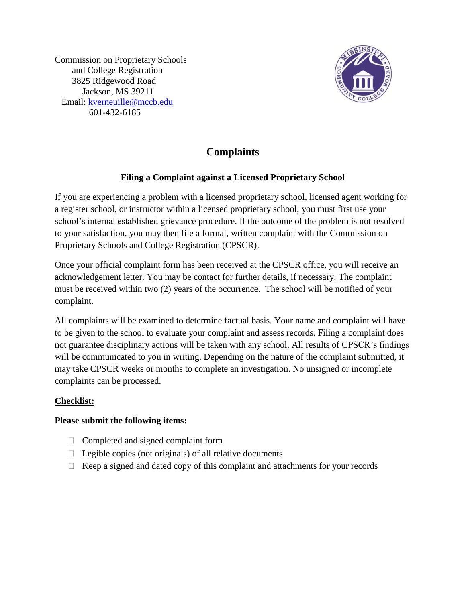Commission on Proprietary Schools and College Registration 3825 Ridgewood Road Jackson, MS 39211 Email: [kverneuille@mccb.edu](mailto:kverneuille@mccb.edu) 601-432-6185



## **Complaints**

## **Filing a Complaint against a Licensed Proprietary School**

If you are experiencing a problem with a licensed proprietary school, licensed agent working for a register school, or instructor within a licensed proprietary school, you must first use your school's internal established grievance procedure. If the outcome of the problem is not resolved to your satisfaction, you may then file a formal, written complaint with the Commission on Proprietary Schools and College Registration (CPSCR).

Once your official complaint form has been received at the CPSCR office, you will receive an acknowledgement letter. You may be contact for further details, if necessary. The complaint must be received within two (2) years of the occurrence. The school will be notified of your complaint.

All complaints will be examined to determine factual basis. Your name and complaint will have to be given to the school to evaluate your complaint and assess records. Filing a complaint does not guarantee disciplinary actions will be taken with any school. All results of CPSCR's findings will be communicated to you in writing. Depending on the nature of the complaint submitted, it may take CPSCR weeks or months to complete an investigation. No unsigned or incomplete complaints can be processed.

## **Checklist:**

## **Please submit the following items:**

- $\Box$  Completed and signed complaint form
- $\Box$  Legible copies (not originals) of all relative documents
- $\Box$  Keep a signed and dated copy of this complaint and attachments for your records